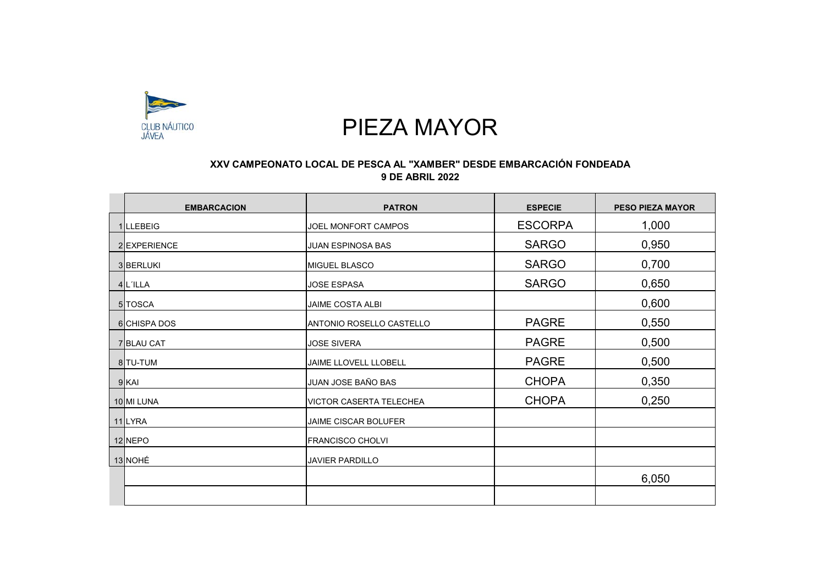

## PIEZA MAYOR

## **XXV CAMPEONATO LOCAL DE PESCA AL "XAMBER" DESDE EMBARCACIÓN FONDEADA 9 DE ABRIL 2022**

| <b>EMBARCACION</b> | <b>PATRON</b>                  | <b>ESPECIE</b> | <b>PESO PIEZA MAYOR</b> |
|--------------------|--------------------------------|----------------|-------------------------|
| 1 LLEBEIG          | JOEL MONFORT CAMPOS            | <b>ESCORPA</b> | 1,000                   |
| 2 EXPERIENCE       | <b>JUAN ESPINOSA BAS</b>       | <b>SARGO</b>   | 0,950                   |
| 3 BERLUKI          | <b>MIGUEL BLASCO</b>           | <b>SARGO</b>   | 0,700                   |
| 4 L'ILLA           | <b>JOSE ESPASA</b>             | <b>SARGO</b>   | 0,650                   |
| 5 TOSCA            | <b>JAIME COSTA ALBI</b>        |                | 0,600                   |
| 6 CHISPA DOS       | IANTONIO ROSELLO CASTELLO      | <b>PAGRE</b>   | 0,550                   |
| <b>7 BLAU CAT</b>  | <b>JOSE SIVERA</b>             | <b>PAGRE</b>   | 0,500                   |
| 8 TU-TUM           | JAIME LLOVELL LLOBELL          | <b>PAGRE</b>   | 0,500                   |
| $9$ KAI            | JUAN JOSE BAÑO BAS             | <b>CHOPA</b>   | 0,350                   |
| 10 MI LUNA         | <b>VICTOR CASERTA TELECHEA</b> | <b>CHOPA</b>   | 0,250                   |
| 11 LYRA            | <b>JAIME CISCAR BOLUFER</b>    |                |                         |
| 12 NEPO            | <b>FRANCISCO CHOLVI</b>        |                |                         |
| 13 NOHÉ            | <b>JAVIER PARDILLO</b>         |                |                         |
|                    |                                |                | 6,050                   |
|                    |                                |                |                         |